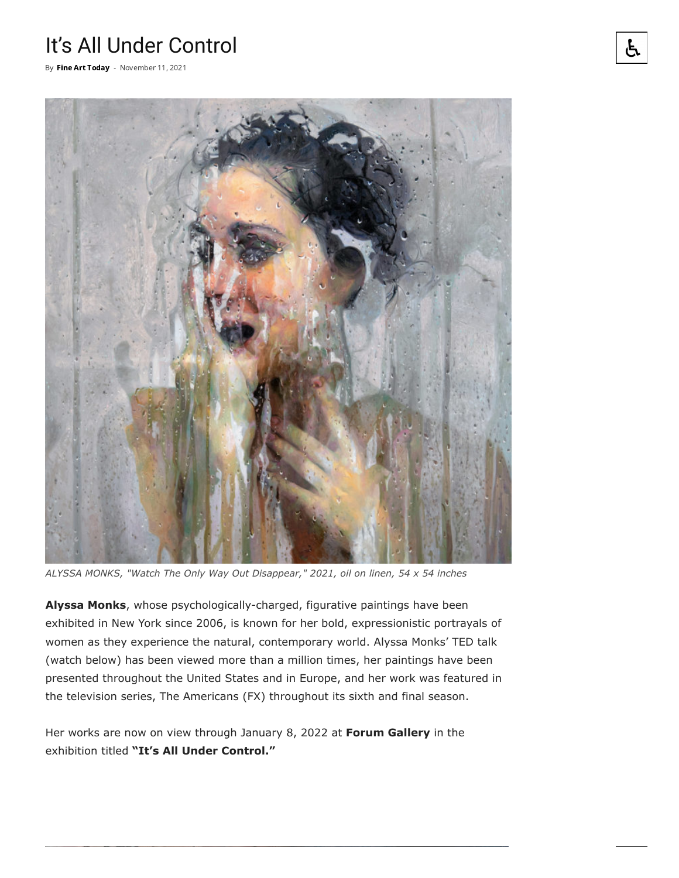## It's All Under Control

By Fine Art [Today](https://fineartconnoisseur.com/author/fac/) - November 11, 2021



*ALYSSA MONKS, "Watch The Only Way Out Disappear," 2021, oil on linen, 54 x 54 inches*

**Alyssa Monks**, whose psychologically-charged, figurative paintings have been exhibited in New York since 2006, is known for her bold, expressionistic portrayals of women as they experience the natural, contemporary world. Alyssa Monks' TED talk (watch below) has been viewed more than a million times, her paintings have been presented throughout the United States and in Europe, and her work was featured in the television series, The Americans (FX) throughout its sixth and final season.

Her works are now on view through January 8, 2022 at **Forum Gallery** in the exhibition titled **"It's All Under Control."**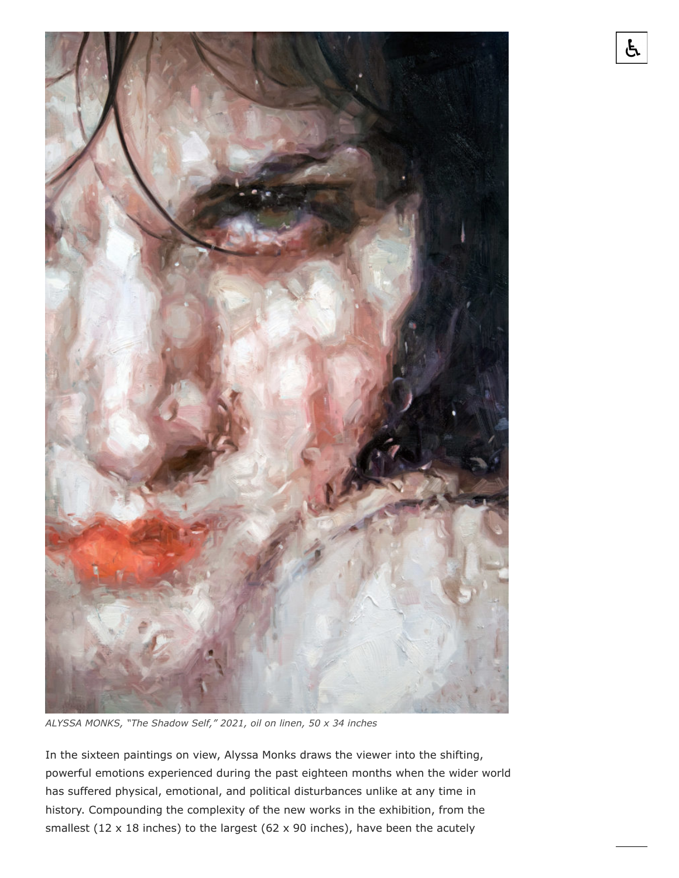

*ALYSSA MONKS, "The Shadow Self," 2021, oil on linen, 50 x 34 inches*

In the sixteen paintings on view, Alyssa Monks draws the viewer into the shifting, powerful emotions experienced during the past eighteen months when the wider world has suffered physical, emotional, and political disturbances unlike at any time in history. Compounding the complexity of the new works in the exhibition, from the smallest (12  $\times$  18 inches) to the largest (62  $\times$  90 inches), have been the acutely

占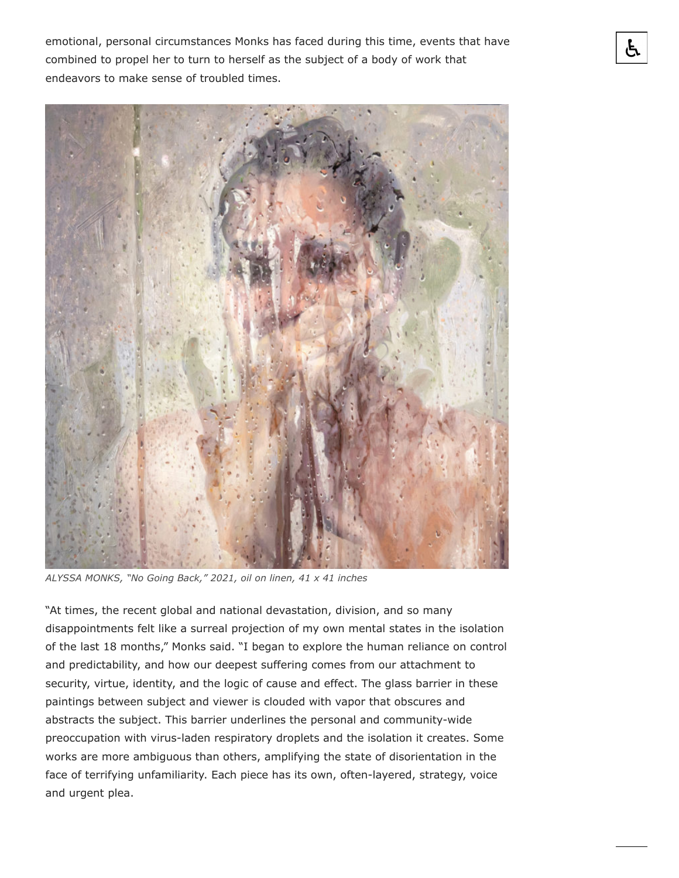emotional, personal circumstances Monks has faced during this time, events that have combined to propel her to turn to herself as the subject of a body of work that endeavors to make sense of troubled times.



*ALYSSA MONKS, "No Going Back," 2021, oil on linen, 41 x 41 inches*

"At times, the recent global and national devastation, division, and so many disappointments felt like a surreal projection of my own mental states in the isolation of the last 18 months," Monks said. "I began to explore the human reliance on control and predictability, and how our deepest suffering comes from our attachment to security, virtue, identity, and the logic of cause and effect. The glass barrier in these paintings between subject and viewer is clouded with vapor that obscures and abstracts the subject. This barrier underlines the personal and community-wide preoccupation with virus-laden respiratory droplets and the isolation it creates. Some works are more ambiguous than others, amplifying the state of disorientation in the face of terrifying unfamiliarity. Each piece has its own, often-layered, strategy, voice and urgent plea.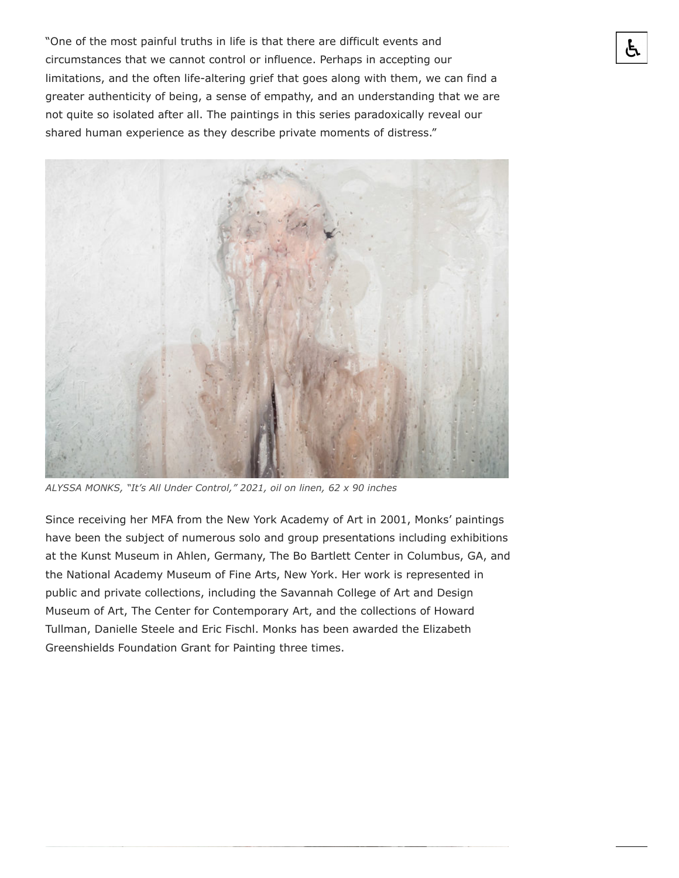"One of the most painful truths in life is that there are difficult events and circumstances that we cannot control or influence. Perhaps in accepting our limitations, and the often life-altering grief that goes along with them, we can find a greater authenticity of being, a sense of empathy, and an understanding that we are not quite so isolated after all. The paintings in this series paradoxically reveal our shared human experience as they describe private moments of distress."



*ALYSSA MONKS, "It's All Under Control," 2021, oil on linen, 62 x 90 inches*

Since receiving her MFA from the New York Academy of Art in 2001, Monks' paintings have been the subject of numerous solo and group presentations including exhibitions at the Kunst Museum in Ahlen, Germany, The Bo Bartlett Center in Columbus, GA, and the National Academy Museum of Fine Arts, New York. Her work is represented in public and private collections, including the Savannah College of Art and Design Museum of Art, The Center for Contemporary Art, and the collections of Howard Tullman, Danielle Steele and Eric Fischl. Monks has been awarded the Elizabeth Greenshields Foundation Grant for Painting three times.